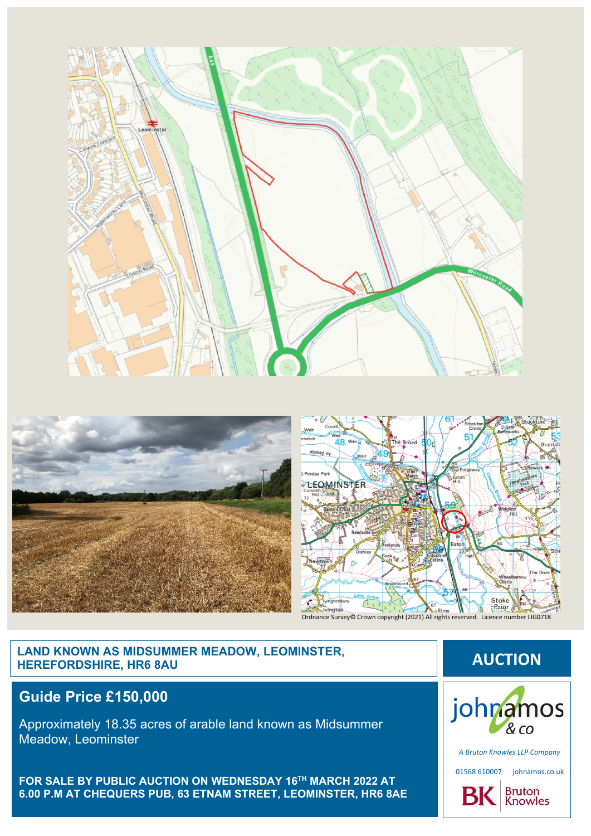





# **LAND KNOWN AS MIDSUMMER MEADOW, LEOMINSTER, HEREFORDSHIRE, HR6 8AU AUCTION**

## **Guide Price £150,000**

Approximately 18.35 acres of arable land known as Midsummer Meadow, Leominster

**FOR SALE BY PUBLIC AUCTION ON WEDNESDAY 16 TH MARCH 2022 AT 6.00 P.M AT CHEQUERS PUB, 63 ETNAM STREET, LEOMINSTER, HR6 8AE**



*A Bruton Knowles LLP Company*